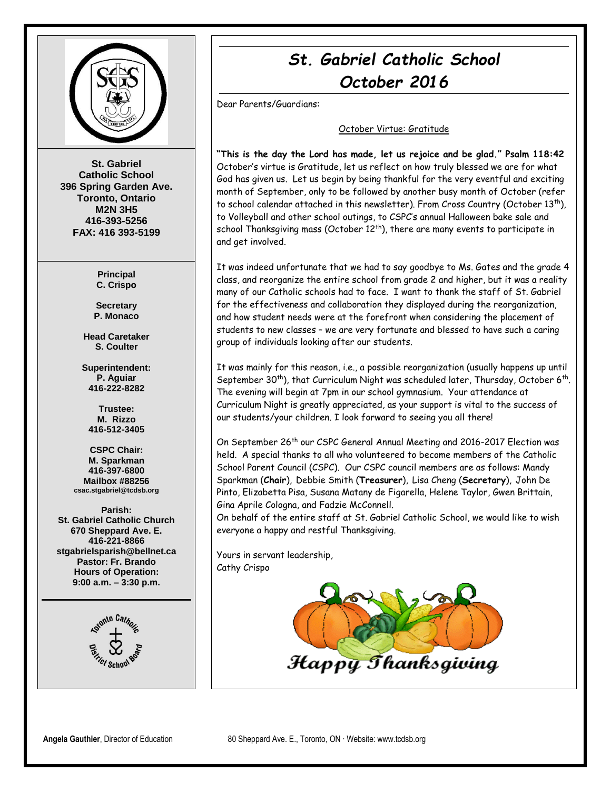

**St. Gabriel Catholic School 396 Spring Garden Ave. Toronto, Ontario M2N 3H5 416-393-5256 FAX: 416 393-5199**

> **Principal C. Crispo**

**Secretary P. Monaco**

**Head Caretaker S. Coulter**

**Superintendent: P. Aguiar 416-222-8282**

**Trustee: M. Rizzo 416-512-3405**

**CSPC Chair: M. Sparkman 416-397-6800 Mailbox #88256 csac.stgabriel@tcdsb.org**

**Parish: St. Gabriel Catholic Church 670 Sheppard Ave. E. 416-221-8866 stgabrielsparish@bellnet.ca Pastor: Fr. Brando Hours of Operation: 9:00 a.m. – 3:30 p.m.**



# *St. Gabriel Catholic School October 2016*

Dear Parents/Guardians:

#### October Virtue: Gratitude

**"This is the day the Lord has made, let us rejoice and be glad." Psalm 118:42** October's virtue is Gratitude, let us reflect on how truly blessed we are for what God has given us. Let us begin by being thankful for the very eventful and exciting month of September, only to be followed by another busy month of October (refer to school calendar attached in this newsletter). From Cross Country (October  $13^{th}$ ), to Volleyball and other school outings, to CSPC's annual Halloween bake sale and school Thanksgiving mass (October  $12<sup>th</sup>$ ), there are many events to participate in and get involved.

It was indeed unfortunate that we had to say goodbye to Ms. Gates and the grade 4 class, and reorganize the entire school from grade 2 and higher, but it was a reality many of our Catholic schools had to face. I want to thank the staff of St. Gabriel for the effectiveness and collaboration they displayed during the reorganization, and how student needs were at the forefront when considering the placement of students to new classes – we are very fortunate and blessed to have such a caring group of individuals looking after our students.

It was mainly for this reason, i.e., a possible reorganization (usually happens up until September 30<sup>th</sup>), that Curriculum Night was scheduled later, Thursday, October 6<sup>th</sup>. The evening will begin at 7pm in our school gymnasium. Your attendance at Curriculum Night is greatly appreciated, as your support is vital to the success of our students/your children. I look forward to seeing you all there!

On September 26<sup>th</sup> our CSPC General Annual Meeting and 2016-2017 Election was held. A special thanks to all who volunteered to become members of the Catholic School Parent Council (CSPC). Our CSPC council members are as follows: Mandy Sparkman (**Chair**), Debbie Smith (**Treasurer**), Lisa Cheng (**Secretary**), John De Pinto, Elizabetta Pisa, Susana Matany de Figarella, Helene Taylor, Gwen Brittain, Gina Aprile Cologna, and Fadzie McConnell.

On behalf of the entire staff at St. Gabriel Catholic School, we would like to wish everyone a happy and restful Thanksgiving.

Yours in servant leadership, Cathy Crispo

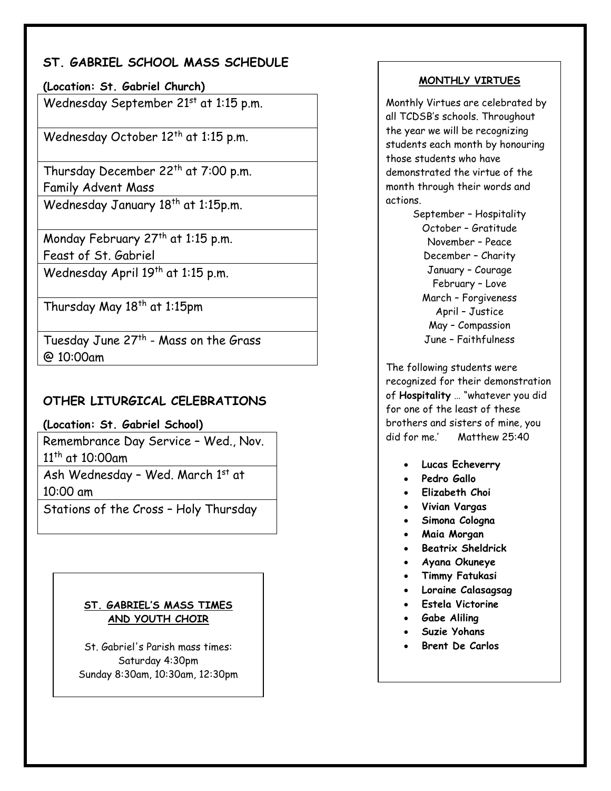## **ST. GABRIEL SCHOOL MASS SCHEDULE**

**(Location: St. Gabriel Church)** 

Wednesday September 21st at 1:15 p.m.

Wednesday October 12<sup>th</sup> at 1:15 p.m.

Thursday December 22<sup>th</sup> at 7:00 p.m. Family Advent Mass

Wednesday January 18<sup>th</sup> at 1:15p.m.

Monday February 27<sup>th</sup> at 1:15 p.m. Feast of St. Gabriel Wednesday April 19<sup>th</sup> at 1:15 p.m.

Thursday May 18<sup>th</sup> at 1:15pm

Tuesday June 27<sup>th</sup> - Mass on the Grass @ 10:00am

### **OTHER LITURGICAL CELEBRATIONS**

**(Location: St. Gabriel School)** 

Remembrance Day Service – Wed., Nov. 11th at 10:00am

Ash Wednesday - Wed. March 1st at 10:00 am

Stations of the Cross – Holy Thursday

#### **ST. GABRIEL'S MASS TIMES AND YOUTH CHOIR**

St. Gabriel's Parish mass times: Saturday 4:30pm Sunday 8:30am, 10:30am, 12:30pm

#### **MONTHLY VIRTUES**

Monthly Virtues are celebrated by all TCDSB's schools. Throughout the year we will be recognizing students each month by honouring those students who have demonstrated the virtue of the month through their words and actions.

> September – Hospitality October – Gratitude November – Peace December – Charity January – Courage February – Love March – Forgiveness April – Justice May – Compassion June – Faithfulness

The following students were recognized for their demonstration of **Hospitality** … "whatever you did for one of the least of these brothers and sisters of mine, you did for me.' Matthew 25:40

- **Lucas Echeverry**
- **Pedro Gallo**
- **Elizabeth Choi**
- **Vivian Vargas**
- **Simona Cologna**
- **Maia Morgan**
- **•** Beatrix Sheldrick
- **Ayana Okuneye**
- **Timmy Fatukasi**
- **Loraine Calasagsag**
- **Estela Victorine**
- **Gabe Aliling**
- **Suzie Yohans**
- **Brent De Carlos**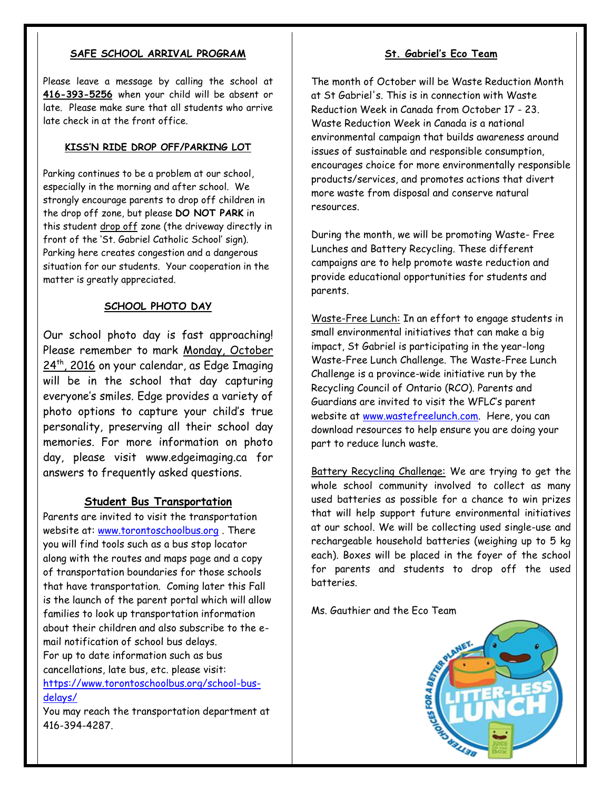#### **SAFE SCHOOL ARRIVAL PROGRAM**

Please leave a message by calling the school at **416-393-5256** when your child will be absent or late. Please make sure that all students who arrive late check in at the front office.

#### **KISS'N RIDE DROP OFF/PARKING LOT**

Parking continues to be a problem at our school, especially in the morning and after school. We strongly encourage parents to drop off children in the drop off zone, but please **DO NOT PARK** in this student drop off zone (the driveway directly in front of the 'St. Gabriel Catholic School' sign). Parking here creates congestion and a dangerous situation for our students. Your cooperation in the matter is greatly appreciated.

#### **SCHOOL PHOTO DAY**

Our school photo day is fast approaching! Please remember to mark Monday, October 24<sup>th</sup>, 2016 on your calendar, as Edge Imaging will be in the school that day capturing everyone's smiles. Edge provides a variety of photo options to capture your child's true personality, preserving all their school day memories. For more information on photo day, please visit www.edgeimaging.ca for answers to frequently asked questions.

#### **Student Bus Transportation**

Parents are invited to visit the transportation website at: [www.torontoschoolbus.org](http://www.torontoschoolbus.org/) . There you will find tools such as a bus stop locator along with the routes and maps page and a copy of transportation boundaries for those schools that have transportation. Coming later this Fall is the launch of the parent portal which will allow families to look up transportation information about their children and also subscribe to the email notification of school bus delays. For up to date information such as bus cancellations, late bus, etc. please visit: [https://www.torontoschoolbus.org/school-bus](https://www.torontoschoolbus.org/school-bus-delays/)[delays/](https://www.torontoschoolbus.org/school-bus-delays/)

You may reach the transportation department at 416-394-4287.

#### **St. Gabriel's Eco Team**

The month of October will be Waste Reduction Month at St Gabriel's. This is in connection with Waste Reduction Week in Canada from October 17 - 23. Waste Reduction Week in Canada is a national environmental campaign that builds awareness around issues of sustainable and responsible consumption, encourages choice for more environmentally responsible products/services, and promotes actions that divert more waste from disposal and conserve natural resources.

During the month, we will be promoting Waste- Free Lunches and Battery Recycling. These different campaigns are to help promote waste reduction and provide educational opportunities for students and parents.

Waste-Free Lunch: In an effort to engage students in small environmental initiatives that can make a big impact, St Gabriel is participating in the year-long Waste-Free Lunch Challenge. The Waste-Free Lunch Challenge is a province-wide initiative run by the Recycling Council of Ontario (RCO). Parents and Guardians are invited to visit the WFLC's parent website at [www.wastefreelunch.com.](http://www.wastefreelunch.com/) Here, you can download resources to help ensure you are doing your part to reduce lunch waste.

Battery Recycling Challenge: We are trying to get the whole school community involved to collect as many used batteries as possible for a chance to win prizes that will help support future environmental initiatives at our school. We will be collecting used single-use and rechargeable household batteries (weighing up to 5 kg each). Boxes will be placed in the foyer of the school for parents and students to drop off the used batteries.

Ms. Gauthier and the Eco Team

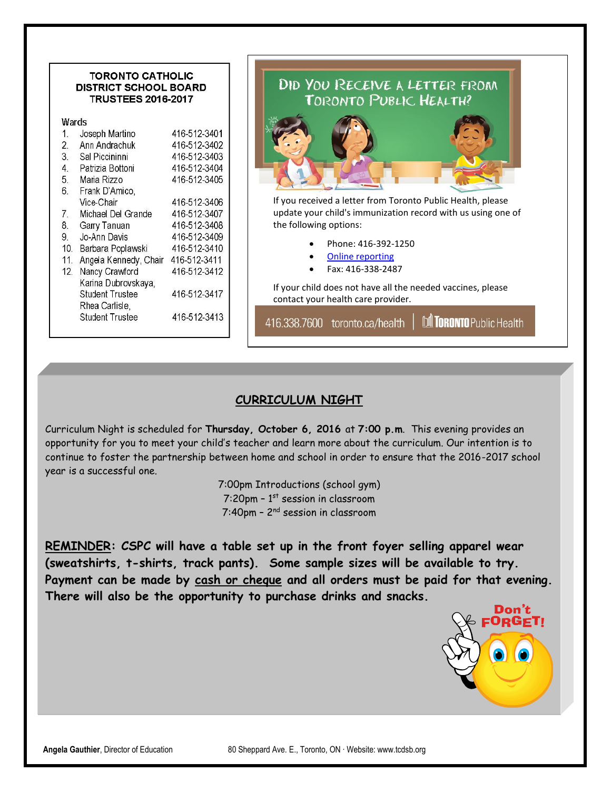#### **TORONTO CATHOLIC DISTRICT SCHOOL BOARD TRUSTEES 2016-2017**

| Wards |  |  |
|-------|--|--|
|       |  |  |
|       |  |  |

| $1_{-}$          | Joseph Martino         | 416-512-3401 |
|------------------|------------------------|--------------|
| $\overline{2}$ . | Ann Andrachuk          | 416-512-3402 |
| 3.               | Sal Piccininni         | 416-512-3403 |
| 4.               | Patrizia Bottoni       | 416-512-3404 |
| 5.               | Maria Rizzo            | 416-512-3405 |
| 6.               | Frank D'Amico,         |              |
|                  | Vice-Chair             | 416-512-3406 |
| 7.               | Michael Del Grande     | 416-512-3407 |
| 8.               | Garry Tanuan           | 416-512-3408 |
| 9.               | Jo-Ann Davis           | 416-512-3409 |
| 10 <sup>1</sup>  | Barbara Poplawski      | 416-512-3410 |
| 11               | Angela Kennedy, Chair  | 416-512-3411 |
| 12.              | Nancy Crawford         | 416-512-3412 |
|                  | Karina Dubrovskaya,    |              |
|                  | <b>Student Trustee</b> | 416-512-3417 |
|                  | Rhea Carlisle,         |              |
|                  | <b>Student Trustee</b> | 416-512-3413 |
|                  |                        |              |

# DID YOU RECEIVE A LETTER FROM TORONTO PUBLIC, HEALTH?

If you received a letter from Toronto Public Health, please update your child's immunization record with us using one of the following options:

- Phone: 416-392-1250
- [Online reporting](http://www1.toronto.ca/wps/portal/contentonly?vgnextoid=89b85dc06f002410VgnVCM10000071d60f89RCRD)
- Fax: 416-338-2487

If your child does not have all the needed vaccines, please contact your health care provider.

416.338.7600 toronto.ca/health

M TORONTO Public Health

#### **CURRICULUM NIGHT**

Curriculum Night is scheduled for **Thursday, October 6, 2016** at **7:00 p.m**. This evening provides an opportunity for you to meet your child's teacher and learn more about the curriculum. Our intention is to continue to foster the partnership between home and school in order to ensure that the 2016-2017 school year is a successful one.

> 7:00pm Introductions (school gym) 7:20pm –  $1^{st}$  session in classroom 7:40pm – 2<sup>nd</sup> session in classroom

**REMINDER: CSPC will have a table set up in the front foyer selling apparel wear (sweatshirts, t-shirts, track pants). Some sample sizes will be available to try. Payment can be made by cash or cheque and all orders must be paid for that evening. There will also be the opportunity to purchase drinks and snacks.**

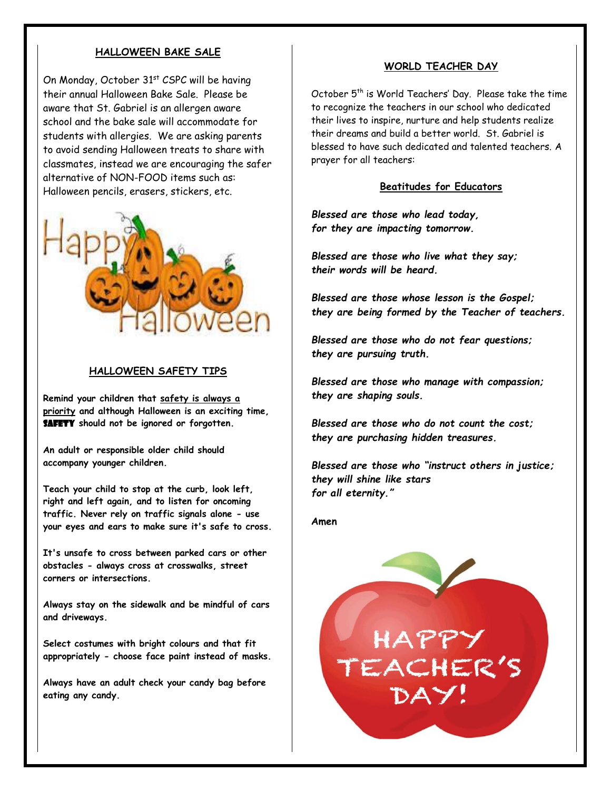#### **HALLOWEEN BAKE SALE**

On Monday, October 31<sup>st</sup> CSPC will be having their annual Halloween Bake Sale. Please be aware that St. Gabriel is an allergen aware school and the bake sale will accommodate for students with allergies. We are asking parents to avoid sending Halloween treats to share with classmates, instead we are encouraging the safer alternative of NON-FOOD items such as: Halloween pencils, erasers, stickers, etc.



#### **HALLOWEEN SAFETY TIPS**

**Remind your children that safety is always a priority and although Halloween is an exciting time, SAFETY** should not be ignored or forgotten.

**An adult or responsible older child should accompany younger children.**

**Teach your child to stop at the curb, look left, right and left again, and to listen for oncoming traffic. Never rely on traffic signals alone - use your eyes and ears to make sure it's safe to cross.**

**It's unsafe to cross between parked cars or other obstacles - always cross at crosswalks, street corners or intersections.** 

**Always stay on the sidewalk and be mindful of cars and driveways.**

**Select costumes with bright colours and that fit appropriately - choose face paint instead of masks.** 

**Always have an adult check your candy bag before eating any candy.**

#### **WORLD TEACHER DAY**

October 5<sup>th</sup> is World Teachers' Day. Please take the time to recognize the teachers in our school who dedicated their lives to inspire, nurture and help students realize their dreams and build a better world. St. Gabriel is blessed to have such dedicated and talented teachers. A prayer for all teachers:

#### **Beatitudes for Educators**

*Blessed are those who lead today, for they are impacting tomorrow.*

*Blessed are those who live what they say; their words will be heard.*

*Blessed are those whose lesson is the Gospel; they are being formed by the Teacher of teachers.*

*Blessed are those who do not fear questions; they are pursuing truth.*

*Blessed are those who manage with compassion; they are shaping souls.*

*Blessed are those who do not count the cost; they are purchasing hidden treasures.*

*Blessed are those who "instruct others in justice; they will shine like stars for all eternity."*

**Amen**